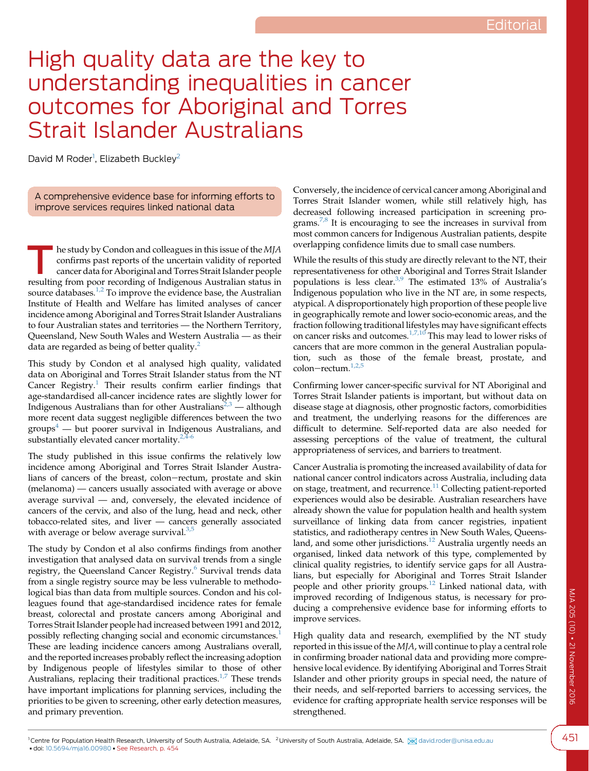## High quality data are the key to understanding inequalities in cancer outcomes for Aboriginal and Torres Strait Islander Australians

David M Roder<sup>1</sup>, Elizabeth Buckley<sup>2</sup>

A comprehensive evidence base for informing efforts to improve services requires linked national data

he study by Condon and colleagues in this issue of the MJA confirms past reports of the uncertain validity of reported cancer data for Aboriginal and Torres Strait Islander people resulting from poor recording of Indigenous Australian status in source databases.<sup>[1,2](#page-1-0)</sup> To improve the evidence base, the Australian Institute of Health and Welfare has limited analyses of cancer incidence among Aboriginal and Torres Strait Islander Australians to four Australian states and territories — the Northern Territory, Queensland, New South Wales and Western Australia — as their data are regarded as being of better quality.<sup>[2](#page-1-0)</sup>

This study by Condon et al analysed high quality, validated data on Aboriginal and Torres Strait Islander status from the NT Cancer  $Registry.<sup>1</sup>$  $Registry.<sup>1</sup>$  $Registry.<sup>1</sup>$  Their results confirm earlier findings that age-standardised all-cancer incidence rates are slightly lower for Indigenous Australians than for other Australians<sup> $2,3$ </sup> — although more recent data suggest negligible differences between the two  $groups<sup>4</sup>$  $groups<sup>4</sup>$  $groups<sup>4</sup>$  — but poorer survival in Indigenous Australians, and substantially elevated cancer mortality. $2,4-6$ 

The study published in this issue confirms the relatively low incidence among Aboriginal and Torres Strait Islander Australians of cancers of the breast, colon-rectum, prostate and skin (melanoma) — cancers usually associated with average or above average survival — and, conversely, the elevated incidence of cancers of the cervix, and also of the lung, head and neck, other tobacco-related sites, and liver — cancers generally associated with average or below average survival.<sup>[3,5](#page-1-0)</sup>

The study by Condon et al also confirms findings from another investigation that analysed data on survival trends from a single registry, the Queensland Cancer Registry.<sup>[6](#page-1-0)</sup> Survival trends data from a single registry source may be less vulnerable to methodological bias than data from multiple sources. Condon and his colleagues found that age-standardised incidence rates for female breast, colorectal and prostate cancers among Aboriginal and Torres Strait Islander people had increased between 1991 and 2012, possibly reflecting changing social and economic circumstances.<sup>[1](#page-1-0)</sup> These are leading incidence cancers among Australians overall, and the reported increases probably reflect the increasing adoption by Indigenous people of lifestyles similar to those of other Australians, replacing their traditional practices. $1/7$  These trends have important implications for planning services, including the priorities to be given to screening, other early detection measures, and primary prevention.

Conversely, the incidence of cervical cancer among Aboriginal and Torres Strait Islander women, while still relatively high, has decreased following increased participation in screening programs.[7,8](#page-1-0) It is encouraging to see the increases in survival from most common cancers for Indigenous Australian patients, despite overlapping confidence limits due to small case numbers.

While the results of this study are directly relevant to the NT, their representativeness for other Aboriginal and Torres Strait Islander populations is less clear.<sup>[3,9](#page-1-0)</sup> The estimated 13% of Australia's Indigenous population who live in the NT are, in some respects, atypical. A disproportionately high proportion of these people live in geographically remote and lower socio-economic areas, and the fraction following traditional lifestyles may have significant effects on cancer risks and outcomes.<sup>[1,7,10](#page-1-0)</sup> This may lead to lower risks of cancers that are more common in the general Australian population, such as those of the female breast, prostate, and colon-rectum. $1,2,5$ 

Confirming lower cancer-specific survival for NT Aboriginal and Torres Strait Islander patients is important, but without data on disease stage at diagnosis, other prognostic factors, comorbidities and treatment, the underlying reasons for the differences are difficult to determine. Self-reported data are also needed for assessing perceptions of the value of treatment, the cultural appropriateness of services, and barriers to treatment.

Cancer Australia is promoting the increased availability of data for national cancer control indicators across Australia, including data on stage, treatment, and recurrence.<sup>[11](#page-1-0)</sup> Collecting patient-reported experiences would also be desirable. Australian researchers have already shown the value for population health and health system surveillance of linking data from cancer registries, inpatient statistics, and radiotherapy centres in New South Wales, Queens-land, and some other jurisdictions.<sup>[12](#page-1-0)</sup> Australia urgently needs an organised, linked data network of this type, complemented by clinical quality registries, to identify service gaps for all Australians, but especially for Aboriginal and Torres Strait Islander people and other priority groups.<sup>[12](#page-1-0)</sup> Linked national data, with improved recording of Indigenous status, is necessary for producing a comprehensive evidence base for informing efforts to improve services.

High quality data and research, exemplified by the NT study reported in this issue of the MJA, will continue to play a central role in confirming broader national data and providing more comprehensive local evidence. By identifying Aboriginal and Torres Strait Islander and other priority groups in special need, the nature of their needs, and self-reported barriers to accessing services, the evidence for crafting appropriate health service responses will be strengthened.